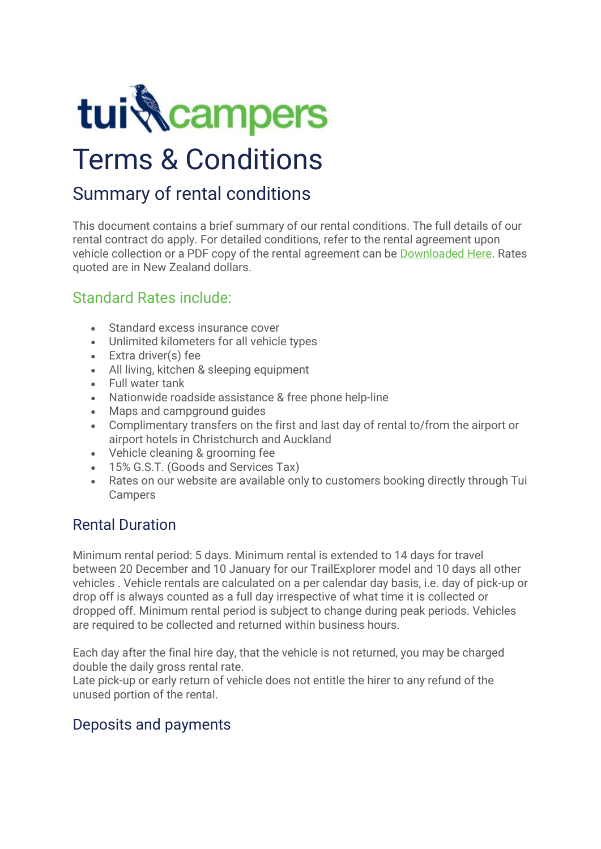

# Terms & Conditions

# Summary of rental conditions

This document contains a brief summary of our rental conditions. The full details of our rental contract do apply. For detailed conditions, refer to the rental agreement upon vehicle collection or a PDF copy of the rental agreement can be [Downloaded Here.](https://www.tuicampers.co.nz/resources/image/terms-conditions.gif) Rates quoted are in New Zealand dollars.

## Standard Rates include:

- Standard excess insurance cover
- Unlimited kilometers for all vehicle types
- Extra driver(s) fee
- All living, kitchen & sleeping equipment
- Full water tank
- Nationwide roadside assistance & free phone help-line
- Maps and campground guides
- Complimentary transfers on the first and last day of rental to/from the airport or airport hotels in Christchurch and Auckland
- Vehicle cleaning & grooming fee
- 15% G.S.T. (Goods and Services Tax)
- Rates on our website are available only to customers booking directly through Tui Campers

## Rental Duration

Minimum rental period: 5 days. Minimum rental is extended to 14 days for travel between 20 December and 10 January for our TrailExplorer model and 10 days all other vehicles . Vehicle rentals are calculated on a per calendar day basis, i.e. day of pick-up or drop off is always counted as a full day irrespective of what time it is collected or dropped off. Minimum rental period is subject to change during peak periods. Vehicles are required to be collected and returned within business hours.

Each day after the final hire day, that the vehicle is not returned, you may be charged double the daily gross rental rate.

Late pick-up or early return of vehicle does not entitle the hirer to any refund of the unused portion of the rental.

## Deposits and payments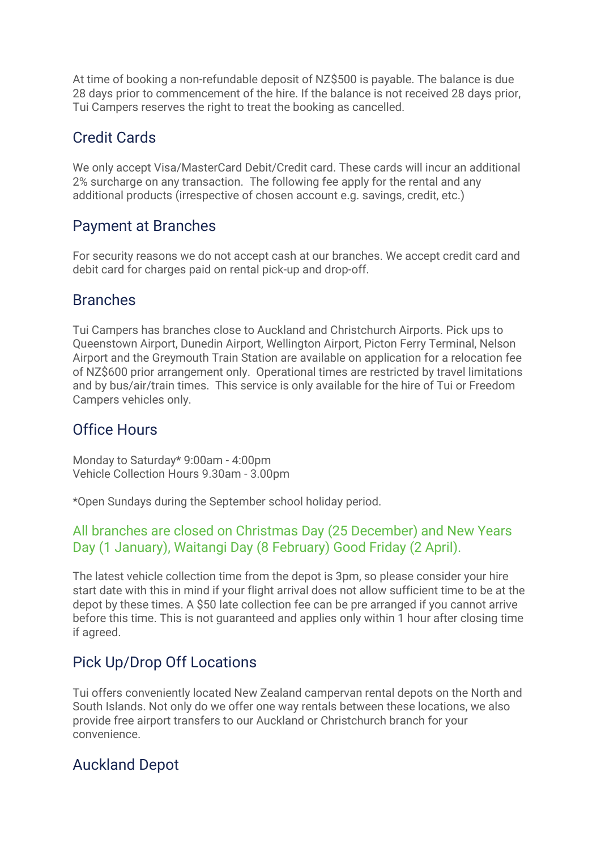At time of booking a non-refundable deposit of NZ\$500 is payable. The balance is due 28 days prior to commencement of the hire. If the balance is not received 28 days prior, Tui Campers reserves the right to treat the booking as cancelled.

## Credit Cards

We only accept Visa/MasterCard Debit/Credit card. These cards will incur an additional 2% surcharge on any transaction. The following fee apply for the rental and any additional products (irrespective of chosen account e.g. savings, credit, etc.)

## Payment at Branches

For security reasons we do not accept cash at our branches. We accept credit card and debit card for charges paid on rental pick-up and drop-off.

## **Branches**

Tui Campers has branches close to Auckland and Christchurch Airports. Pick ups to Queenstown Airport, Dunedin Airport, Wellington Airport, Picton Ferry Terminal, Nelson Airport and the Greymouth Train Station are available on application for a relocation fee of NZ\$600 prior arrangement only. Operational times are restricted by travel limitations and by bus/air/train times. This service is only available for the hire of Tui or Freedom Campers vehicles only.

## Office Hours

Monday to Saturday\* 9:00am - 4:00pm Vehicle Collection Hours 9.30am - 3.00pm

\*Open Sundays during the September school holiday period.

#### All branches are closed on Christmas Day (25 December) and New Years Day (1 January), Waitangi Day (8 February) Good Friday (2 April).

The latest vehicle collection time from the depot is 3pm, so please consider your hire start date with this in mind if your flight arrival does not allow sufficient time to be at the depot by these times. A \$50 late collection fee can be pre arranged if you cannot arrive before this time. This is not guaranteed and applies only within 1 hour after closing time if agreed.

## Pick Up/Drop Off Locations

Tui offers conveniently located New Zealand campervan rental depots on the North and South Islands. Not only do we offer one way rentals between these locations, we also provide free airport transfers to our Auckland or Christchurch branch for your convenience.

## Auckland Depot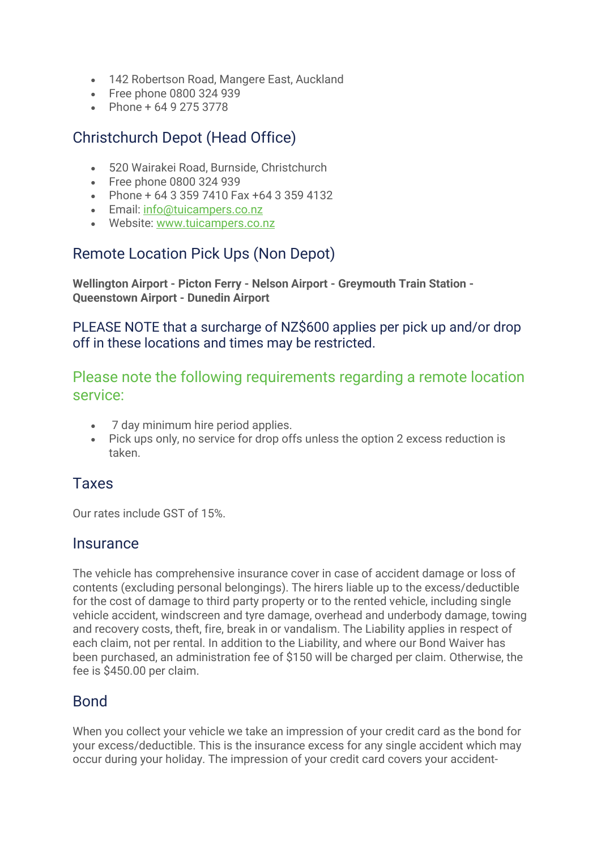- 142 Robertson Road, Mangere East, Auckland
- Free phone 0800 324 939
- Phone + 64 9 275 3778

# Christchurch Depot (Head Office)

- 520 Wairakei Road, Burnside, Christchurch
- Free phone 0800 324 939
- Phone + 64 3 359 7410 Fax +64 3 359 4132
- Email: [info@tuicampers.co.nz](mailto:info@tuicampers.co.nz)
- Website: [www.tuicampers.co.nz](http://www.tuicampers.co.nz/)

## Remote Location Pick Ups (Non Depot)

**Wellington Airport - Picton Ferry - Nelson Airport - Greymouth Train Station - Queenstown Airport - Dunedin Airport**

PLEASE NOTE that a surcharge of NZ\$600 applies per pick up and/or drop off in these locations and times may be restricted.

Please note the following requirements regarding a remote location service:

- 7 day minimum hire period applies.
- Pick ups only, no service for drop offs unless the option 2 excess reduction is taken.

## Taxes

Our rates include GST of 15%.

#### **Insurance**

The vehicle has comprehensive insurance cover in case of accident damage or loss of contents (excluding personal belongings). The hirers liable up to the excess/deductible for the cost of damage to third party property or to the rented vehicle, including single vehicle accident, windscreen and tyre damage, overhead and underbody damage, towing and recovery costs, theft, fire, break in or vandalism. The Liability applies in respect of each claim, not per rental. In addition to the Liability, and where our Bond Waiver has been purchased, an administration fee of \$150 will be charged per claim. Otherwise, the fee is \$450.00 per claim.

#### Bond

When you collect your vehicle we take an impression of your credit card as the bond for your excess/deductible. This is the insurance excess for any single accident which may occur during your holiday. The impression of your credit card covers your accident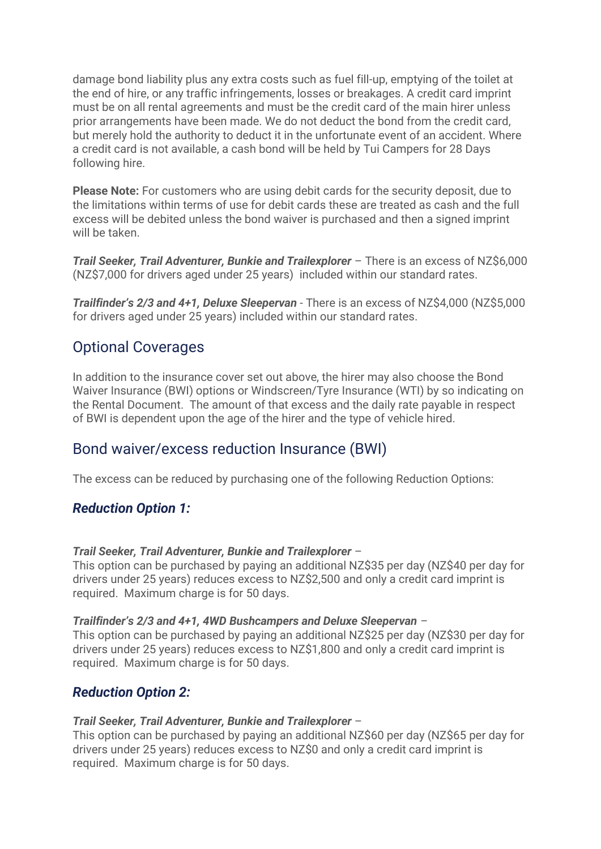damage bond liability plus any extra costs such as fuel fill-up, emptying of the toilet at the end of hire, or any traffic infringements, losses or breakages. A credit card imprint must be on all rental agreements and must be the credit card of the main hirer unless prior arrangements have been made. We do not deduct the bond from the credit card, but merely hold the authority to deduct it in the unfortunate event of an accident. Where a credit card is not available, a cash bond will be held by Tui Campers for 28 Days following hire.

**Please Note:** For customers who are using debit cards for the security deposit, due to the limitations within terms of use for debit cards these are treated as cash and the full excess will be debited unless the bond waiver is purchased and then a signed imprint will be taken

*Trail Seeker, Trail Adventurer, Bunkie and Trailexplorer* – There is an excess of NZ\$6,000 (NZ\$7,000 for drivers aged under 25 years) included within our standard rates.

*Trailfinder's 2/3 and 4+1, Deluxe Sleepervan -* There is an excess of NZ\$4,000 (NZ\$5,000 for drivers aged under 25 years) included within our standard rates.

## Optional Coverages

In addition to the insurance cover set out above, the hirer may also choose the Bond Waiver Insurance (BWI) options or Windscreen/Tyre Insurance (WTI) by so indicating on the Rental Document. The amount of that excess and the daily rate payable in respect of BWI is dependent upon the age of the hirer and the type of vehicle hired.

## Bond waiver/excess reduction Insurance (BWI)

The excess can be reduced by purchasing one of the following Reduction Options:

#### *Reduction Option 1:*

#### *Trail Seeker, Trail Adventurer, Bunkie and Trailexplorer* –

This option can be purchased by paying an additional NZ\$35 per day (NZ\$40 per day for drivers under 25 years) reduces excess to NZ\$2,500 and only a credit card imprint is required. Maximum charge is for 50 days.

#### *Trailfinder's 2/3 and 4+1, 4WD Bushcampers and Deluxe Sleepervan –*

This option can be purchased by paying an additional NZ\$25 per day (NZ\$30 per day for drivers under 25 years) reduces excess to NZ\$1,800 and only a credit card imprint is required. Maximum charge is for 50 days.

#### *Reduction Option 2:*

#### *Trail Seeker, Trail Adventurer, Bunkie and Trailexplorer* –

This option can be purchased by paying an additional NZ\$60 per day (NZ\$65 per day for drivers under 25 years) reduces excess to NZ\$0 and only a credit card imprint is required. Maximum charge is for 50 days.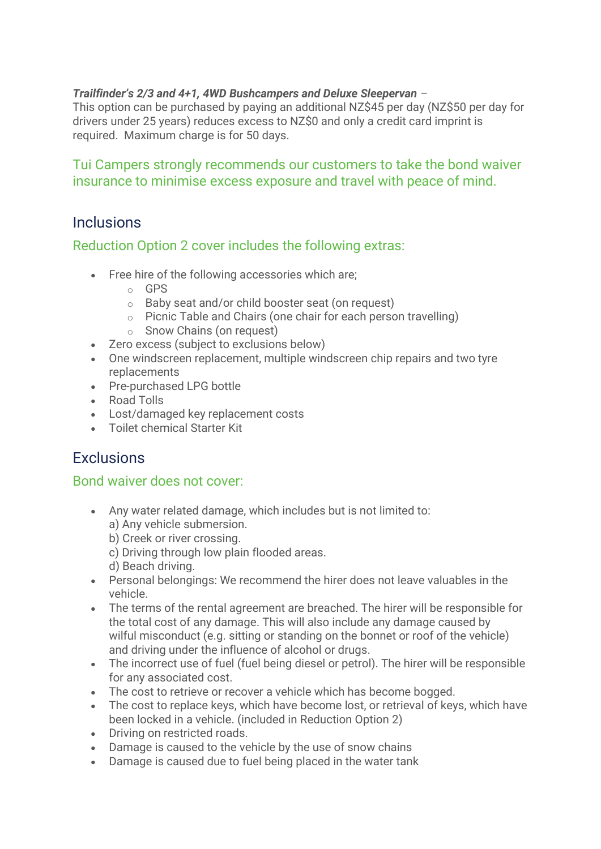#### *Trailfinder's 2/3 and 4+1, 4WD Bushcampers and Deluxe Sleepervan –*

This option can be purchased by paying an additional NZ\$45 per day (NZ\$50 per day for drivers under 25 years) reduces excess to NZ\$0 and only a credit card imprint is required. Maximum charge is for 50 days.

#### Tui Campers strongly recommends our customers to take the bond waiver insurance to minimise excess exposure and travel with peace of mind.

## **Inclusions**

#### Reduction Option 2 cover includes the following extras:

- Free hire of the following accessories which are;
	- o GPS
	- o Baby seat and/or child booster seat (on request)
	- o Picnic Table and Chairs (one chair for each person travelling)
	- o Snow Chains (on request)
- Zero excess (subject to exclusions below)
- One windscreen replacement, multiple windscreen chip repairs and two tyre replacements
- Pre-purchased LPG bottle
- Road Tolls
- Lost/damaged key replacement costs
- Toilet chemical Starter Kit

## **Exclusions**

#### Bond waiver does not cover:

- Any water related damage, which includes but is not limited to: a) Any vehicle submersion.
	- b) Creek or river crossing.
	- c) Driving through low plain flooded areas.
	- d) Beach driving.
- Personal belongings: We recommend the hirer does not leave valuables in the vehicle.
- The terms of the rental agreement are breached. The hirer will be responsible for the total cost of any damage. This will also include any damage caused by wilful misconduct (e.g. sitting or standing on the bonnet or roof of the vehicle) and driving under the influence of alcohol or drugs.
- The incorrect use of fuel (fuel being diesel or petrol). The hirer will be responsible for any associated cost.
- The cost to retrieve or recover a vehicle which has become bogged.
- The cost to replace keys, which have become lost, or retrieval of keys, which have been locked in a vehicle. (included in Reduction Option 2)
- Driving on restricted roads.
- Damage is caused to the vehicle by the use of snow chains
- Damage is caused due to fuel being placed in the water tank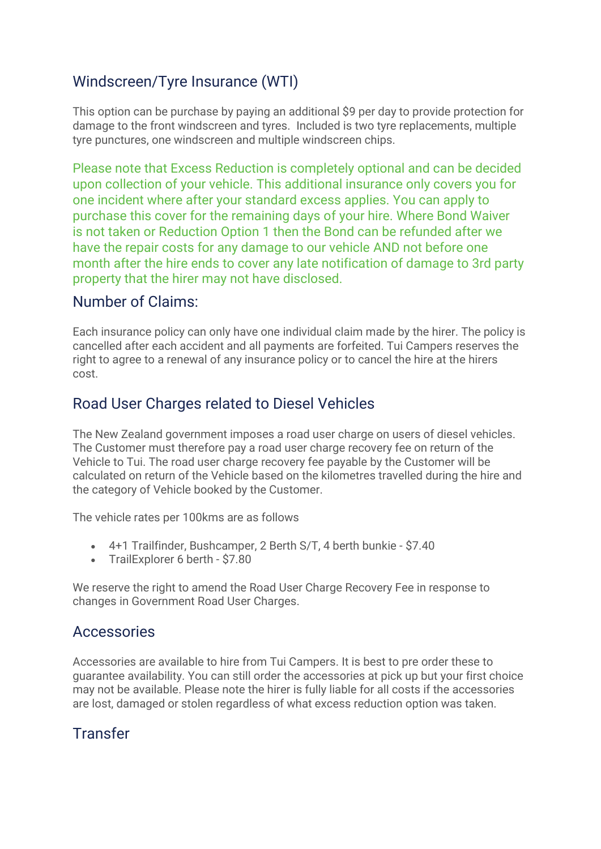# Windscreen/Tyre Insurance (WTI)

This option can be purchase by paying an additional \$9 per day to provide protection for damage to the front windscreen and tyres. Included is two tyre replacements, multiple tyre punctures, one windscreen and multiple windscreen chips.

Please note that Excess Reduction is completely optional and can be decided upon collection of your vehicle. This additional insurance only covers you for one incident where after your standard excess applies. You can apply to purchase this cover for the remaining days of your hire. Where Bond Waiver is not taken or Reduction Option 1 then the Bond can be refunded after we have the repair costs for any damage to our vehicle AND not before one month after the hire ends to cover any late notification of damage to 3rd party property that the hirer may not have disclosed.

#### Number of Claims:

Each insurance policy can only have one individual claim made by the hirer. The policy is cancelled after each accident and all payments are forfeited. Tui Campers reserves the right to agree to a renewal of any insurance policy or to cancel the hire at the hirers cost.

## Road User Charges related to Diesel Vehicles

The New Zealand government imposes a road user charge on users of diesel vehicles. The Customer must therefore pay a road user charge recovery fee on return of the Vehicle to Tui. The road user charge recovery fee payable by the Customer will be calculated on return of the Vehicle based on the kilometres travelled during the hire and the category of Vehicle booked by the Customer.

The vehicle rates per 100kms are as follows

- 4+1 Trailfinder, Bushcamper, 2 Berth S/T, 4 berth bunkie \$7.40
- TrailExplorer 6 berth \$7.80

We reserve the right to amend the Road User Charge Recovery Fee in response to changes in Government Road User Charges.

#### Accessories

Accessories are available to hire from Tui Campers. It is best to pre order these to guarantee availability. You can still order the accessories at pick up but your first choice may not be available. Please note the hirer is fully liable for all costs if the accessories are lost, damaged or stolen regardless of what excess reduction option was taken.

## Transfer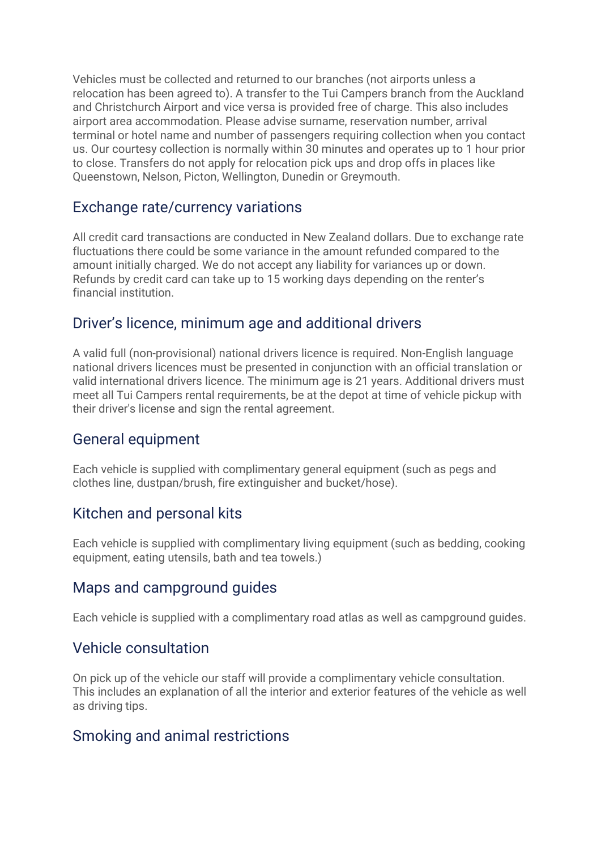Vehicles must be collected and returned to our branches (not airports unless a relocation has been agreed to). A transfer to the Tui Campers branch from the Auckland and Christchurch Airport and vice versa is provided free of charge. This also includes airport area accommodation. Please advise surname, reservation number, arrival terminal or hotel name and number of passengers requiring collection when you contact us. Our courtesy collection is normally within 30 minutes and operates up to 1 hour prior to close. Transfers do not apply for relocation pick ups and drop offs in places like Queenstown, Nelson, Picton, Wellington, Dunedin or Greymouth.

#### Exchange rate/currency variations

All credit card transactions are conducted in New Zealand dollars. Due to exchange rate fluctuations there could be some variance in the amount refunded compared to the amount initially charged. We do not accept any liability for variances up or down. Refunds by credit card can take up to 15 working days depending on the renter's financial institution.

## Driver's licence, minimum age and additional drivers

A valid full (non-provisional) national drivers licence is required. Non-English language national drivers licences must be presented in conjunction with an official translation or valid international drivers licence. The minimum age is 21 years. Additional drivers must meet all Tui Campers rental requirements, be at the depot at time of vehicle pickup with their driver's license and sign the rental agreement.

## General equipment

Each vehicle is supplied with complimentary general equipment (such as pegs and clothes line, dustpan/brush, fire extinguisher and bucket/hose).

## Kitchen and personal kits

Each vehicle is supplied with complimentary living equipment (such as bedding, cooking equipment, eating utensils, bath and tea towels.)

## Maps and campground guides

Each vehicle is supplied with a complimentary road atlas as well as campground guides.

#### Vehicle consultation

On pick up of the vehicle our staff will provide a complimentary vehicle consultation. This includes an explanation of all the interior and exterior features of the vehicle as well as driving tips.

## Smoking and animal restrictions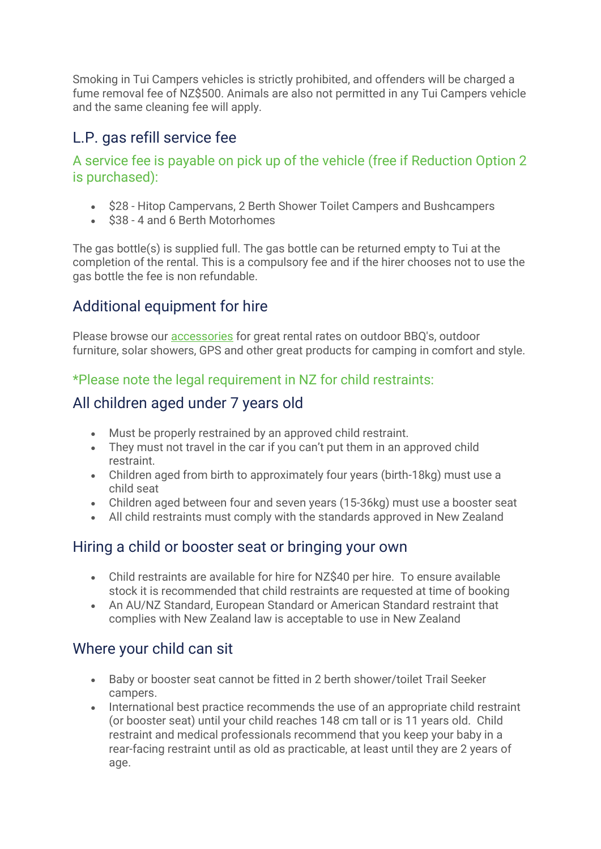Smoking in Tui Campers vehicles is strictly prohibited, and offenders will be charged a fume removal fee of NZ\$500. Animals are also not permitted in any Tui Campers vehicle and the same cleaning fee will apply.

## L.P. gas refill service fee

#### A service fee is payable on pick up of the vehicle (free if Reduction Option 2 is purchased):

- \$28 Hitop Campervans, 2 Berth Shower Toilet Campers and Bushcampers
- \$38 4 and 6 Berth Motorhomes

The gas bottle(s) is supplied full. The gas bottle can be returned empty to Tui at the completion of the rental. This is a compulsory fee and if the hirer chooses not to use the gas bottle the fee is non refundable.

# Additional equipment for hire

Please browse our [accessories](https://www.tuicampers.co.nz/Accessories/) for great rental rates on outdoor BBQ's, outdoor furniture, solar showers, GPS and other great products for camping in comfort and style.

## \*Please note the legal requirement in NZ for child restraints:

## All children aged under 7 years old

- Must be properly restrained by an approved child restraint.
- They must not travel in the car if you can't put them in an approved child restraint.
- Children aged from birth to approximately four years (birth-18kg) must use a child seat
- Children aged between four and seven years (15-36kg) must use a booster seat
- All child restraints must comply with the standards approved in New Zealand

## Hiring a child or booster seat or bringing your own

- Child restraints are available for hire for NZ\$40 per hire. To ensure available stock it is recommended that child restraints are requested at time of booking
- An AU/NZ Standard, European Standard or American Standard restraint that complies with New Zealand law is acceptable to use in New Zealand

# Where your child can sit

- Baby or booster seat cannot be fitted in 2 berth shower/toilet Trail Seeker campers.
- International best practice recommends the use of an appropriate child restraint (or booster seat) until your child reaches 148 cm tall or is 11 years old. Child restraint and medical professionals recommend that you keep your baby in a rear-facing restraint until as old as practicable, at least until they are 2 years of age.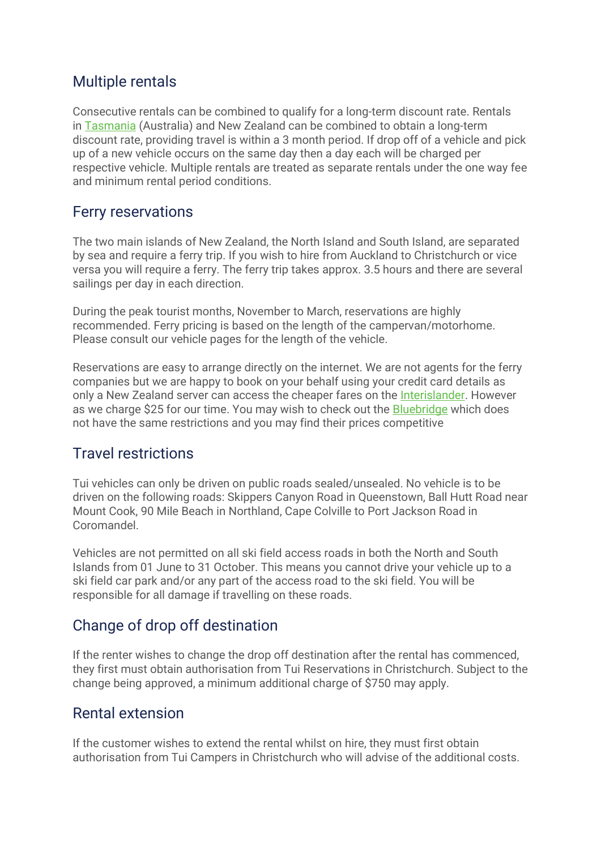## Multiple rentals

Consecutive rentals can be combined to qualify for a long-term discount rate. Rentals in [Tasmania](https://www.tasmaniacampers.com.au/) (Australia) and New Zealand can be combined to obtain a long-term discount rate, providing travel is within a 3 month period. If drop off of a vehicle and pick up of a new vehicle occurs on the same day then a day each will be charged per respective vehicle. Multiple rentals are treated as separate rentals under the one way fee and minimum rental period conditions.

## Ferry reservations

The two main islands of New Zealand, the North Island and South Island, are separated by sea and require a ferry trip. If you wish to hire from Auckland to Christchurch or vice versa you will require a ferry. The ferry trip takes approx. 3.5 hours and there are several sailings per day in each direction.

During the peak tourist months, November to March, reservations are highly recommended. Ferry pricing is based on the length of the campervan/motorhome. Please consult our vehicle pages for the length of the vehicle.

Reservations are easy to arrange directly on the internet. We are not agents for the ferry companies but we are happy to book on your behalf using your credit card details as only a New Zealand server can access the cheaper fares on the [Interislander.](http://www.interislander.co.nz/) However as we charge \$25 for our time. You may wish to check out the [Bluebridge](http://www.bluebridge.co.nz/) which does not have the same restrictions and you may find their prices competitive

## Travel restrictions

Tui vehicles can only be driven on public roads sealed/unsealed. No vehicle is to be driven on the following roads: Skippers Canyon Road in Queenstown, Ball Hutt Road near Mount Cook, 90 Mile Beach in Northland, Cape Colville to Port Jackson Road in **Coromandel** 

Vehicles are not permitted on all ski field access roads in both the North and South Islands from 01 June to 31 October. This means you cannot drive your vehicle up to a ski field car park and/or any part of the access road to the ski field. You will be responsible for all damage if travelling on these roads.

# Change of drop off destination

If the renter wishes to change the drop off destination after the rental has commenced, they first must obtain authorisation from Tui Reservations in Christchurch. Subject to the change being approved, a minimum additional charge of \$750 may apply.

## Rental extension

If the customer wishes to extend the rental whilst on hire, they must first obtain authorisation from Tui Campers in Christchurch who will advise of the additional costs.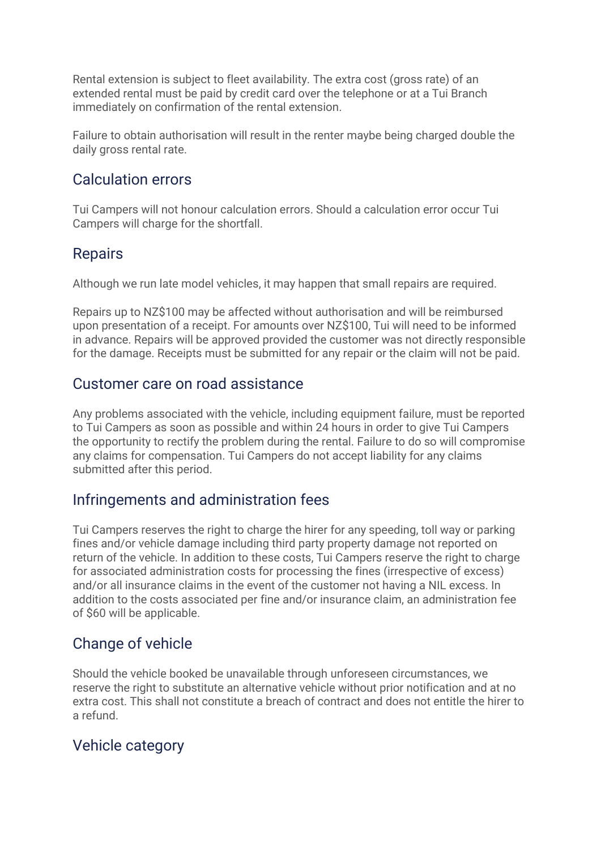Rental extension is subject to fleet availability. The extra cost (gross rate) of an extended rental must be paid by credit card over the telephone or at a Tui Branch immediately on confirmation of the rental extension.

Failure to obtain authorisation will result in the renter maybe being charged double the daily gross rental rate.

#### Calculation errors

Tui Campers will not honour calculation errors. Should a calculation error occur Tui Campers will charge for the shortfall.

#### Repairs

Although we run late model vehicles, it may happen that small repairs are required.

Repairs up to NZ\$100 may be affected without authorisation and will be reimbursed upon presentation of a receipt. For amounts over NZ\$100, Tui will need to be informed in advance. Repairs will be approved provided the customer was not directly responsible for the damage. Receipts must be submitted for any repair or the claim will not be paid.

#### Customer care on road assistance

Any problems associated with the vehicle, including equipment failure, must be reported to Tui Campers as soon as possible and within 24 hours in order to give Tui Campers the opportunity to rectify the problem during the rental. Failure to do so will compromise any claims for compensation. Tui Campers do not accept liability for any claims submitted after this period.

## Infringements and administration fees

Tui Campers reserves the right to charge the hirer for any speeding, toll way or parking fines and/or vehicle damage including third party property damage not reported on return of the vehicle. In addition to these costs, Tui Campers reserve the right to charge for associated administration costs for processing the fines (irrespective of excess) and/or all insurance claims in the event of the customer not having a NIL excess. In addition to the costs associated per fine and/or insurance claim, an administration fee of \$60 will be applicable.

## Change of vehicle

Should the vehicle booked be unavailable through unforeseen circumstances, we reserve the right to substitute an alternative vehicle without prior notification and at no extra cost. This shall not constitute a breach of contract and does not entitle the hirer to a refund.

## Vehicle category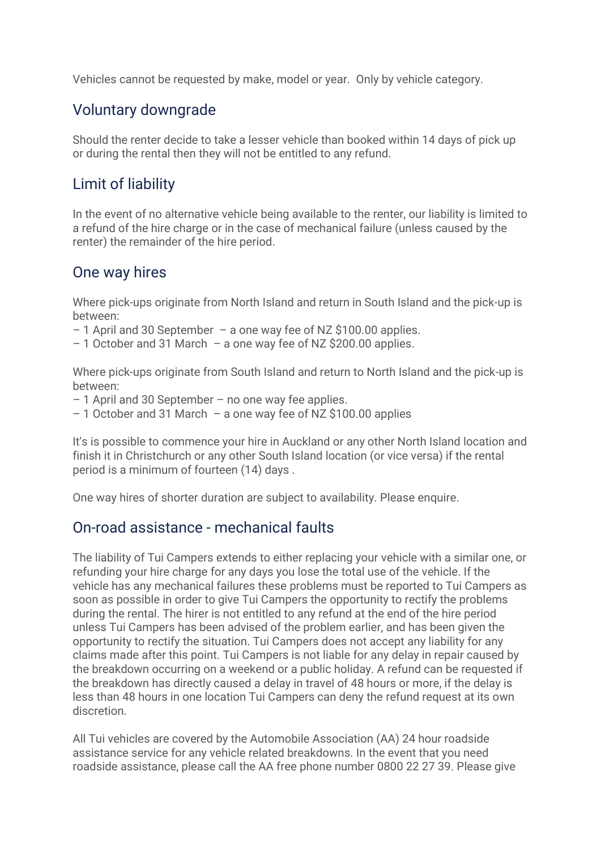Vehicles cannot be requested by make, model or year. Only by vehicle category.

## Voluntary downgrade

Should the renter decide to take a lesser vehicle than booked within 14 days of pick up or during the rental then they will not be entitled to any refund.

## Limit of liability

In the event of no alternative vehicle being available to the renter, our liability is limited to a refund of the hire charge or in the case of mechanical failure (unless caused by the renter) the remainder of the hire period.

## One way hires

Where pick-ups originate from North Island and return in South Island and the pick-up is between:

– 1 April and 30 September – a one way fee of NZ \$100.00 applies.

– 1 October and 31 March – a one way fee of NZ \$200.00 applies.

Where pick-ups originate from South Island and return to North Island and the pick-up is between:

- 1 April and 30 September no one way fee applies.
- 1 October and 31 March a one way fee of NZ \$100.00 applies

It's is possible to commence your hire in Auckland or any other North Island location and finish it in Christchurch or any other South Island location (or vice versa) if the rental period is a minimum of fourteen (14) days .

One way hires of shorter duration are subject to availability. Please enquire.

## On-road assistance - mechanical faults

The liability of Tui Campers extends to either replacing your vehicle with a similar one, or refunding your hire charge for any days you lose the total use of the vehicle. If the vehicle has any mechanical failures these problems must be reported to Tui Campers as soon as possible in order to give Tui Campers the opportunity to rectify the problems during the rental. The hirer is not entitled to any refund at the end of the hire period unless Tui Campers has been advised of the problem earlier, and has been given the opportunity to rectify the situation. Tui Campers does not accept any liability for any claims made after this point. Tui Campers is not liable for any delay in repair caused by the breakdown occurring on a weekend or a public holiday. A refund can be requested if the breakdown has directly caused a delay in travel of 48 hours or more, if the delay is less than 48 hours in one location Tui Campers can deny the refund request at its own discretion.

All Tui vehicles are covered by the Automobile Association (AA) 24 hour roadside assistance service for any vehicle related breakdowns. In the event that you need roadside assistance, please call the AA free phone number 0800 22 27 39. Please give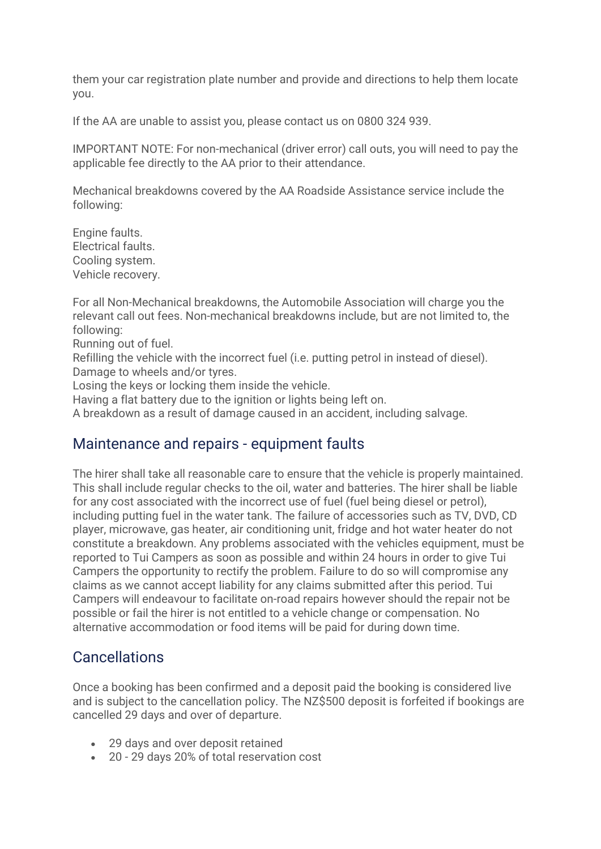them your car registration plate number and provide and directions to help them locate you.

If the AA are unable to assist you, please contact us on 0800 324 939.

IMPORTANT NOTE: For non-mechanical (driver error) call outs, you will need to pay the applicable fee directly to the AA prior to their attendance.

Mechanical breakdowns covered by the AA Roadside Assistance service include the following:

Engine faults. Electrical faults. Cooling system. Vehicle recovery.

For all Non-Mechanical breakdowns, the Automobile Association will charge you the relevant call out fees. Non-mechanical breakdowns include, but are not limited to, the following:

Running out of fuel.

Refilling the vehicle with the incorrect fuel (i.e. putting petrol in instead of diesel). Damage to wheels and/or tyres.

Losing the keys or locking them inside the vehicle.

Having a flat battery due to the ignition or lights being left on.

A breakdown as a result of damage caused in an accident, including salvage.

#### Maintenance and repairs - equipment faults

The hirer shall take all reasonable care to ensure that the vehicle is properly maintained. This shall include regular checks to the oil, water and batteries. The hirer shall be liable for any cost associated with the incorrect use of fuel (fuel being diesel or petrol), including putting fuel in the water tank. The failure of accessories such as TV, DVD, CD player, microwave, gas heater, air conditioning unit, fridge and hot water heater do not constitute a breakdown. Any problems associated with the vehicles equipment, must be reported to Tui Campers as soon as possible and within 24 hours in order to give Tui Campers the opportunity to rectify the problem. Failure to do so will compromise any claims as we cannot accept liability for any claims submitted after this period. Tui Campers will endeavour to facilitate on-road repairs however should the repair not be possible or fail the hirer is not entitled to a vehicle change or compensation. No alternative accommodation or food items will be paid for during down time.

#### **Cancellations**

Once a booking has been confirmed and a deposit paid the booking is considered live and is subject to the cancellation policy. The NZ\$500 deposit is forfeited if bookings are cancelled 29 days and over of departure.

- 29 days and over deposit retained
- 20 29 days 20% of total reservation cost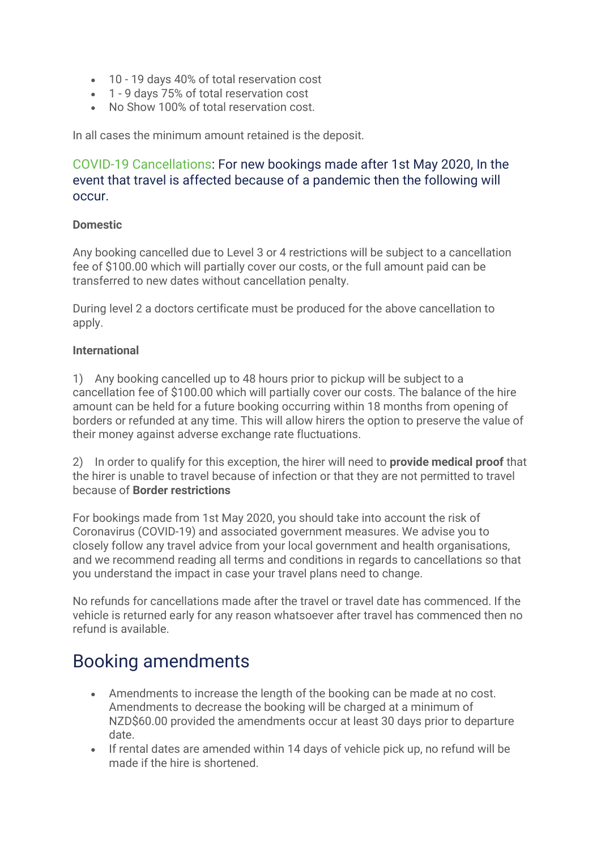- 10 19 days 40% of total reservation cost
- 1 9 days 75% of total reservation cost
- No Show 100% of total reservation cost.

In all cases the minimum amount retained is the deposit.

#### COVID-19 Cancellations: For new bookings made after 1st May 2020, In the event that travel is affected because of a pandemic then the following will occur.

#### **Domestic**

Any booking cancelled due to Level 3 or 4 restrictions will be subject to a cancellation fee of \$100.00 which will partially cover our costs, or the full amount paid can be transferred to new dates without cancellation penalty.

During level 2 a doctors certificate must be produced for the above cancellation to apply.

#### **International**

1) Any booking cancelled up to 48 hours prior to pickup will be subject to a cancellation fee of \$100.00 which will partially cover our costs. The balance of the hire amount can be held for a future booking occurring within 18 months from opening of borders or refunded at any time. This will allow hirers the option to preserve the value of their money against adverse exchange rate fluctuations.

2) In order to qualify for this exception, the hirer will need to **provide medical proof** that the hirer is unable to travel because of infection or that they are not permitted to travel because of **Border restrictions**

For bookings made from 1st May 2020, you should take into account the risk of Coronavirus (COVID-19) and associated government measures. We advise you to closely follow any travel advice from your local government and health organisations, and we recommend reading all terms and conditions in regards to cancellations so that you understand the impact in case your travel plans need to change.

No refunds for cancellations made after the travel or travel date has commenced. If the vehicle is returned early for any reason whatsoever after travel has commenced then no refund is available.

# Booking amendments

- Amendments to increase the length of the booking can be made at no cost. Amendments to decrease the booking will be charged at a minimum of NZD\$60.00 provided the amendments occur at least 30 days prior to departure date.
- If rental dates are amended within 14 days of vehicle pick up, no refund will be made if the hire is shortened.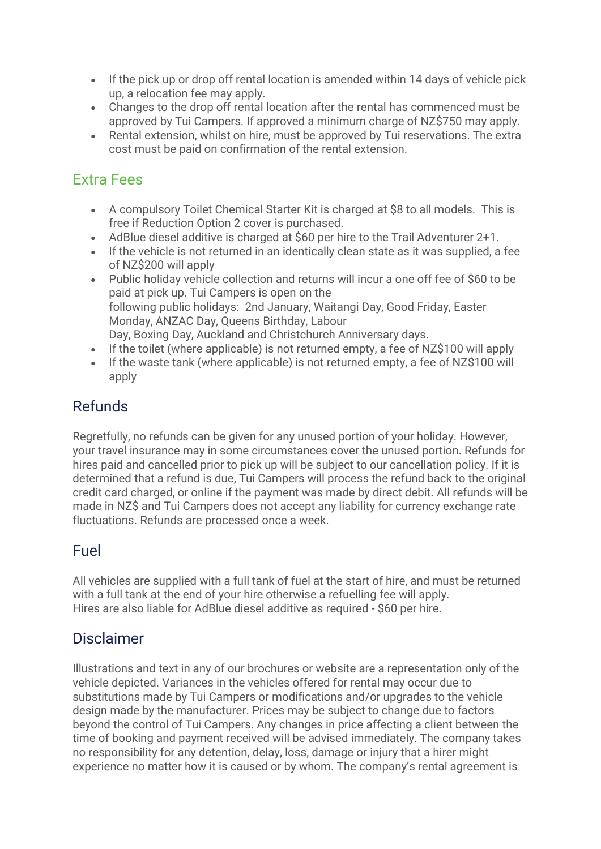- If the pick up or drop off rental location is amended within 14 days of vehicle pick up, a relocation fee may apply.
- Changes to the drop off rental location after the rental has commenced must be approved by Tui Campers. If approved a minimum charge of NZ\$750 may apply.
- Rental extension, whilst on hire, must be approved by Tui reservations. The extra cost must be paid on confirmation of the rental extension.

## Extra Fees

- A compulsory Toilet Chemical Starter Kit is charged at \$8 to all models. This is free if Reduction Option 2 cover is purchased.
- AdBlue diesel additive is charged at \$60 per hire to the Trail Adventurer 2+1.
- If the vehicle is not returned in an identically clean state as it was supplied, a fee of NZ\$200 will apply
- Public holiday vehicle collection and returns will incur a one off fee of \$60 to be paid at pick up. Tui Campers is open on the following public holidays: 2nd January, Waitangi Day, Good Friday, Easter Monday, ANZAC Day, Queens Birthday, Labour Day, Boxing Day, Auckland and Christchurch Anniversary days.
- If the toilet (where applicable) is not returned empty, a fee of NZ\$100 will apply
- If the waste tank (where applicable) is not returned empty, a fee of NZ\$100 will apply

# Refunds

Regretfully, no refunds can be given for any unused portion of your holiday. However, your travel insurance may in some circumstances cover the unused portion. Refunds for hires paid and cancelled prior to pick up will be subject to our cancellation policy. If it is determined that a refund is due, Tui Campers will process the refund back to the original credit card charged, or online if the payment was made by direct debit. All refunds will be made in NZ\$ and Tui Campers does not accept any liability for currency exchange rate fluctuations. Refunds are processed once a week.

# Fuel

All vehicles are supplied with a full tank of fuel at the start of hire, and must be returned with a full tank at the end of your hire otherwise a refuelling fee will apply. Hires are also liable for AdBlue diesel additive as required - \$60 per hire.

## Disclaimer

Illustrations and text in any of our brochures or website are a representation only of the vehicle depicted. Variances in the vehicles offered for rental may occur due to substitutions made by Tui Campers or modifications and/or upgrades to the vehicle design made by the manufacturer. Prices may be subject to change due to factors beyond the control of Tui Campers. Any changes in price affecting a client between the time of booking and payment received will be advised immediately. The company takes no responsibility for any detention, delay, loss, damage or injury that a hirer might experience no matter how it is caused or by whom. The company's rental agreement is